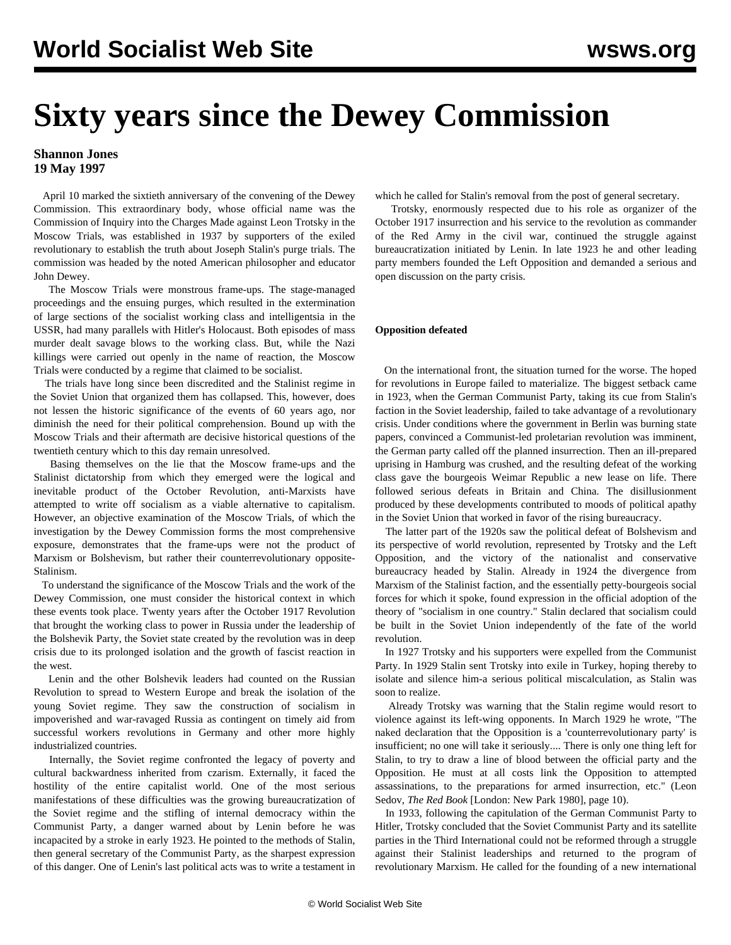# **Sixty years since the Dewey Commission**

## **Shannon Jones 19 May 1997**

 April 10 marked the sixtieth anniversary of the convening of the Dewey Commission. This extraordinary body, whose official name was the Commission of Inquiry into the Charges Made against Leon Trotsky in the Moscow Trials, was established in 1937 by supporters of the exiled revolutionary to establish the truth about Joseph Stalin's purge trials. The commission was headed by the noted American philosopher and educator John Dewey.

 The Moscow Trials were monstrous frame-ups. The stage-managed proceedings and the ensuing purges, which resulted in the extermination of large sections of the socialist working class and intelligentsia in the USSR, had many parallels with Hitler's Holocaust. Both episodes of mass murder dealt savage blows to the working class. But, while the Nazi killings were carried out openly in the name of reaction, the Moscow Trials were conducted by a regime that claimed to be socialist.

 The trials have long since been discredited and the Stalinist regime in the Soviet Union that organized them has collapsed. This, however, does not lessen the historic significance of the events of 60 years ago, nor diminish the need for their political comprehension. Bound up with the Moscow Trials and their aftermath are decisive historical questions of the twentieth century which to this day remain unresolved.

 Basing themselves on the lie that the Moscow frame-ups and the Stalinist dictatorship from which they emerged were the logical and inevitable product of the October Revolution, anti-Marxists have attempted to write off socialism as a viable alternative to capitalism. However, an objective examination of the Moscow Trials, of which the investigation by the Dewey Commission forms the most comprehensive exposure, demonstrates that the frame-ups were not the product of Marxism or Bolshevism, but rather their counterrevolutionary opposite-Stalinism.

 To understand the significance of the Moscow Trials and the work of the Dewey Commission, one must consider the historical context in which these events took place. Twenty years after the October 1917 Revolution that brought the working class to power in Russia under the leadership of the Bolshevik Party, the Soviet state created by the revolution was in deep crisis due to its prolonged isolation and the growth of fascist reaction in the west.

 Lenin and the other Bolshevik leaders had counted on the Russian Revolution to spread to Western Europe and break the isolation of the young Soviet regime. They saw the construction of socialism in impoverished and war-ravaged Russia as contingent on timely aid from successful workers revolutions in Germany and other more highly industrialized countries.

 Internally, the Soviet regime confronted the legacy of poverty and cultural backwardness inherited from czarism. Externally, it faced the hostility of the entire capitalist world. One of the most serious manifestations of these difficulties was the growing bureaucratization of the Soviet regime and the stifling of internal democracy within the Communist Party, a danger warned about by Lenin before he was incapacited by a stroke in early 1923. He pointed to the methods of Stalin, then general secretary of the Communist Party, as the sharpest expression of this danger. One of Lenin's last political acts was to write a testament in

which he called for Stalin's removal from the post of general secretary.

 Trotsky, enormously respected due to his role as organizer of the October 1917 insurrection and his service to the revolution as commander of the Red Army in the civil war, continued the struggle against bureaucratization initiated by Lenin. In late 1923 he and other leading party members founded the Left Opposition and demanded a serious and open discussion on the party crisis.

### **Opposition defeated**

 On the international front, the situation turned for the worse. The hoped for revolutions in Europe failed to materialize. The biggest setback came in 1923, when the German Communist Party, taking its cue from Stalin's faction in the Soviet leadership, failed to take advantage of a revolutionary crisis. Under conditions where the government in Berlin was burning state papers, convinced a Communist-led proletarian revolution was imminent, the German party called off the planned insurrection. Then an ill-prepared uprising in Hamburg was crushed, and the resulting defeat of the working class gave the bourgeois Weimar Republic a new lease on life. There followed serious defeats in Britain and China. The disillusionment produced by these developments contributed to moods of political apathy in the Soviet Union that worked in favor of the rising bureaucracy.

 The latter part of the 1920s saw the political defeat of Bolshevism and its perspective of world revolution, represented by Trotsky and the Left Opposition, and the victory of the nationalist and conservative bureaucracy headed by Stalin. Already in 1924 the divergence from Marxism of the Stalinist faction, and the essentially petty-bourgeois social forces for which it spoke, found expression in the official adoption of the theory of "socialism in one country." Stalin declared that socialism could be built in the Soviet Union independently of the fate of the world revolution.

 In 1927 Trotsky and his supporters were expelled from the Communist Party. In 1929 Stalin sent Trotsky into exile in Turkey, hoping thereby to isolate and silence him-a serious political miscalculation, as Stalin was soon to realize.

 Already Trotsky was warning that the Stalin regime would resort to violence against its left-wing opponents. In March 1929 he wrote, "The naked declaration that the Opposition is a 'counterrevolutionary party' is insufficient; no one will take it seriously.... There is only one thing left for Stalin, to try to draw a line of blood between the official party and the Opposition. He must at all costs link the Opposition to attempted assassinations, to the preparations for armed insurrection, etc." (Leon Sedov, *The Red Book* [London: New Park 1980], page 10).

 In 1933, following the capitulation of the German Communist Party to Hitler, Trotsky concluded that the Soviet Communist Party and its satellite parties in the Third International could not be reformed through a struggle against their Stalinist leaderships and returned to the program of revolutionary Marxism. He called for the founding of a new international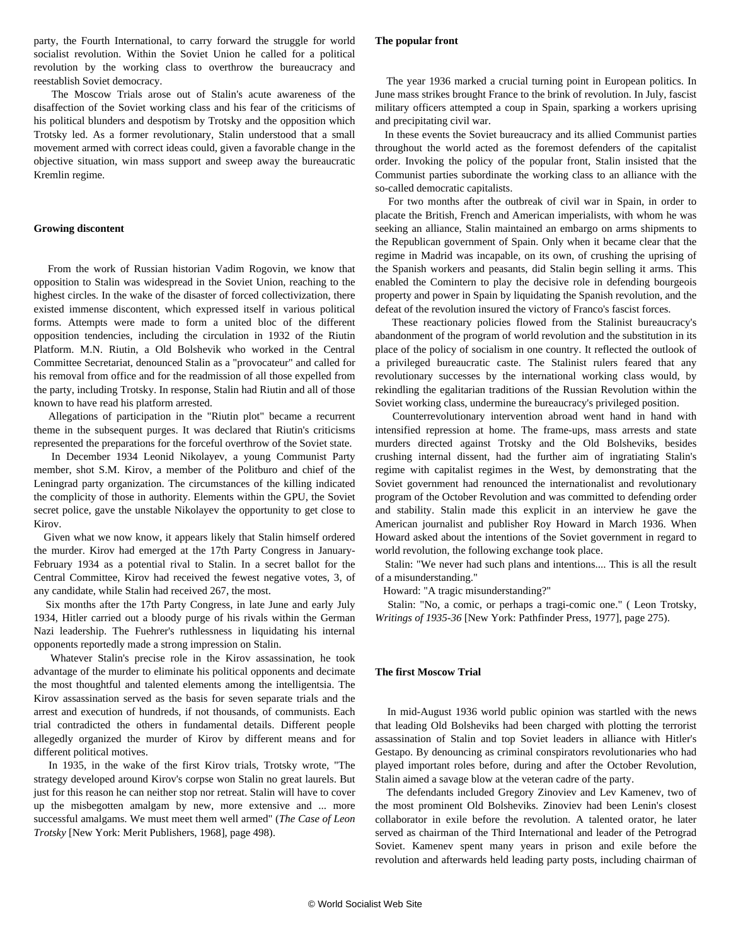party, the Fourth International, to carry forward the struggle for world socialist revolution. Within the Soviet Union he called for a political revolution by the working class to overthrow the bureaucracy and reestablish Soviet democracy.

 The Moscow Trials arose out of Stalin's acute awareness of the disaffection of the Soviet working class and his fear of the criticisms of his political blunders and despotism by Trotsky and the opposition which Trotsky led. As a former revolutionary, Stalin understood that a small movement armed with correct ideas could, given a favorable change in the objective situation, win mass support and sweep away the bureaucratic Kremlin regime.

#### **Growing discontent**

 From the work of Russian historian Vadim Rogovin, we know that opposition to Stalin was widespread in the Soviet Union, reaching to the highest circles. In the wake of the disaster of forced collectivization, there existed immense discontent, which expressed itself in various political forms. Attempts were made to form a united bloc of the different opposition tendencies, including the circulation in 1932 of the Riutin Platform. M.N. Riutin, a Old Bolshevik who worked in the Central Committee Secretariat, denounced Stalin as a "provocateur" and called for his removal from office and for the readmission of all those expelled from the party, including Trotsky. In response, Stalin had Riutin and all of those known to have read his platform arrested.

 Allegations of participation in the "Riutin plot" became a recurrent theme in the subsequent purges. It was declared that Riutin's criticisms represented the preparations for the forceful overthrow of the Soviet state.

 In December 1934 Leonid Nikolayev, a young Communist Party member, shot S.M. Kirov, a member of the Politburo and chief of the Leningrad party organization. The circumstances of the killing indicated the complicity of those in authority. Elements within the GPU, the Soviet secret police, gave the unstable Nikolayev the opportunity to get close to Kirov.

 Given what we now know, it appears likely that Stalin himself ordered the murder. Kirov had emerged at the 17th Party Congress in January-February 1934 as a potential rival to Stalin. In a secret ballot for the Central Committee, Kirov had received the fewest negative votes, 3, of any candidate, while Stalin had received 267, the most.

 Six months after the 17th Party Congress, in late June and early July 1934, Hitler carried out a bloody purge of his rivals within the German Nazi leadership. The Fuehrer's ruthlessness in liquidating his internal opponents reportedly made a strong impression on Stalin.

 Whatever Stalin's precise role in the Kirov assassination, he took advantage of the murder to eliminate his political opponents and decimate the most thoughtful and talented elements among the intelligentsia. The Kirov assassination served as the basis for seven separate trials and the arrest and execution of hundreds, if not thousands, of communists. Each trial contradicted the others in fundamental details. Different people allegedly organized the murder of Kirov by different means and for different political motives.

 In 1935, in the wake of the first Kirov trials, Trotsky wrote, "The strategy developed around Kirov's corpse won Stalin no great laurels. But just for this reason he can neither stop nor retreat. Stalin will have to cover up the misbegotten amalgam by new, more extensive and ... more successful amalgams. We must meet them well armed" (*The Case of Leon Trotsky* [New York: Merit Publishers, 1968], page 498).

#### **The popular front**

 The year 1936 marked a crucial turning point in European politics. In June mass strikes brought France to the brink of revolution. In July, fascist military officers attempted a coup in Spain, sparking a workers uprising and precipitating civil war.

 In these events the Soviet bureaucracy and its allied Communist parties throughout the world acted as the foremost defenders of the capitalist order. Invoking the policy of the popular front, Stalin insisted that the Communist parties subordinate the working class to an alliance with the so-called democratic capitalists.

 For two months after the outbreak of civil war in Spain, in order to placate the British, French and American imperialists, with whom he was seeking an alliance, Stalin maintained an embargo on arms shipments to the Republican government of Spain. Only when it became clear that the regime in Madrid was incapable, on its own, of crushing the uprising of the Spanish workers and peasants, did Stalin begin selling it arms. This enabled the Comintern to play the decisive role in defending bourgeois property and power in Spain by liquidating the Spanish revolution, and the defeat of the revolution insured the victory of Franco's fascist forces.

 These reactionary policies flowed from the Stalinist bureaucracy's abandonment of the program of world revolution and the substitution in its place of the policy of socialism in one country. It reflected the outlook of a privileged bureaucratic caste. The Stalinist rulers feared that any revolutionary successes by the international working class would, by rekindling the egalitarian traditions of the Russian Revolution within the Soviet working class, undermine the bureaucracy's privileged position.

 Counterrevolutionary intervention abroad went hand in hand with intensified repression at home. The frame-ups, mass arrests and state murders directed against Trotsky and the Old Bolsheviks, besides crushing internal dissent, had the further aim of ingratiating Stalin's regime with capitalist regimes in the West, by demonstrating that the Soviet government had renounced the internationalist and revolutionary program of the October Revolution and was committed to defending order and stability. Stalin made this explicit in an interview he gave the American journalist and publisher Roy Howard in March 1936. When Howard asked about the intentions of the Soviet government in regard to world revolution, the following exchange took place.

 Stalin: "We never had such plans and intentions.... This is all the result of a misunderstanding."

Howard: "A tragic misunderstanding?"

 Stalin: "No, a comic, or perhaps a tragi-comic one." ( Leon Trotsky, *Writings of 1935-36* [New York: Pathfinder Press, 1977], page 275).

#### **The first Moscow Trial**

 In mid-August 1936 world public opinion was startled with the news that leading Old Bolsheviks had been charged with plotting the terrorist assassination of Stalin and top Soviet leaders in alliance with Hitler's Gestapo. By denouncing as criminal conspirators revolutionaries who had played important roles before, during and after the October Revolution, Stalin aimed a savage blow at the veteran cadre of the party.

 The defendants included Gregory Zinoviev and Lev Kamenev, two of the most prominent Old Bolsheviks. Zinoviev had been Lenin's closest collaborator in exile before the revolution. A talented orator, he later served as chairman of the Third International and leader of the Petrograd Soviet. Kamenev spent many years in prison and exile before the revolution and afterwards held leading party posts, including chairman of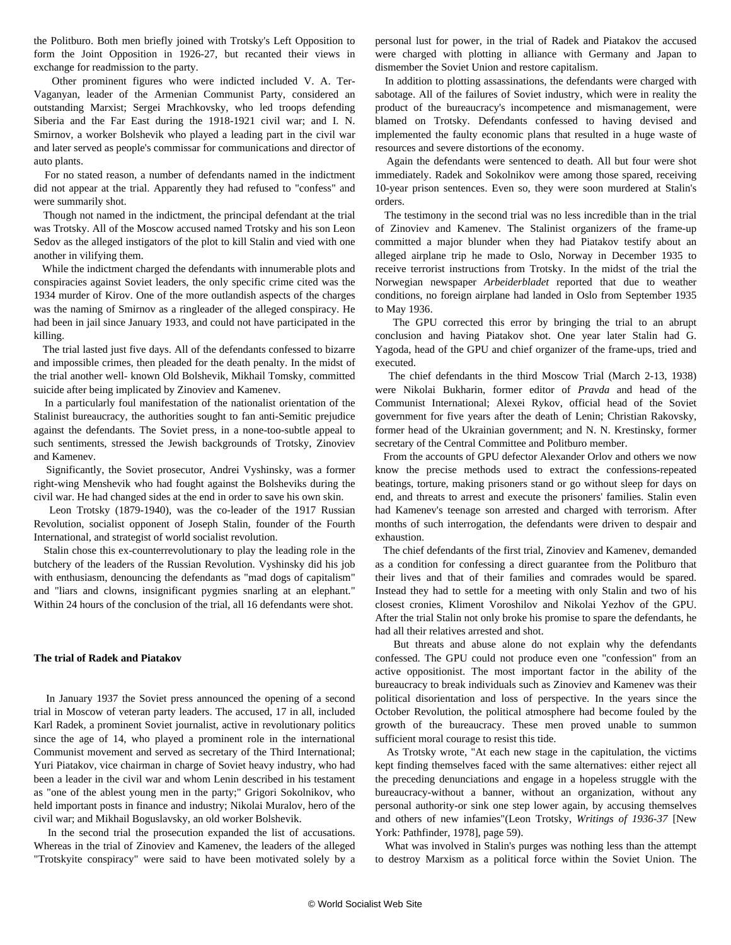the Politburo. Both men briefly joined with Trotsky's Left Opposition to form the Joint Opposition in 1926-27, but recanted their views in exchange for readmission to the party.

 Other prominent figures who were indicted included V. A. Ter-Vaganyan, leader of the Armenian Communist Party, considered an outstanding Marxist; Sergei Mrachkovsky, who led troops defending Siberia and the Far East during the 1918-1921 civil war; and I. N. Smirnov, a worker Bolshevik who played a leading part in the civil war and later served as people's commissar for communications and director of auto plants.

 For no stated reason, a number of defendants named in the indictment did not appear at the trial. Apparently they had refused to "confess" and were summarily shot.

 Though not named in the indictment, the principal defendant at the trial was Trotsky. All of the Moscow accused named Trotsky and his son Leon Sedov as the alleged instigators of the plot to kill Stalin and vied with one another in vilifying them.

 While the indictment charged the defendants with innumerable plots and conspiracies against Soviet leaders, the only specific crime cited was the 1934 murder of Kirov. One of the more outlandish aspects of the charges was the naming of Smirnov as a ringleader of the alleged conspiracy. He had been in jail since January 1933, and could not have participated in the killing.

 The trial lasted just five days. All of the defendants confessed to bizarre and impossible crimes, then pleaded for the death penalty. In the midst of the trial another well- known Old Bolshevik, Mikhail Tomsky, committed suicide after being implicated by Zinoviev and Kamenev.

 In a particularly foul manifestation of the nationalist orientation of the Stalinist bureaucracy, the authorities sought to fan anti-Semitic prejudice against the defendants. The Soviet press, in a none-too-subtle appeal to such sentiments, stressed the Jewish backgrounds of Trotsky, Zinoviev and Kamenev.

 Significantly, the Soviet prosecutor, Andrei Vyshinsky, was a former right-wing Menshevik who had fought against the Bolsheviks during the civil war. He had changed sides at the end in order to save his own skin.

 Leon Trotsky (1879-1940), was the co-leader of the 1917 Russian Revolution, socialist opponent of Joseph Stalin, founder of the Fourth International, and strategist of world socialist revolution.

 Stalin chose this ex-counterrevolutionary to play the leading role in the butchery of the leaders of the Russian Revolution. Vyshinsky did his job with enthusiasm, denouncing the defendants as "mad dogs of capitalism" and "liars and clowns, insignificant pygmies snarling at an elephant." Within 24 hours of the conclusion of the trial, all 16 defendants were shot.

#### **The trial of Radek and Piatakov**

 In January 1937 the Soviet press announced the opening of a second trial in Moscow of veteran party leaders. The accused, 17 in all, included Karl Radek, a prominent Soviet journalist, active in revolutionary politics since the age of 14, who played a prominent role in the international Communist movement and served as secretary of the Third International; Yuri Piatakov, vice chairman in charge of Soviet heavy industry, who had been a leader in the civil war and whom Lenin described in his testament as "one of the ablest young men in the party;" Grigori Sokolnikov, who held important posts in finance and industry; Nikolai Muralov, hero of the civil war; and Mikhail Boguslavsky, an old worker Bolshevik.

 In the second trial the prosecution expanded the list of accusations. Whereas in the trial of Zinoviev and Kamenev, the leaders of the alleged "Trotskyite conspiracy" were said to have been motivated solely by a personal lust for power, in the trial of Radek and Piatakov the accused were charged with plotting in alliance with Germany and Japan to dismember the Soviet Union and restore capitalism.

 In addition to plotting assassinations, the defendants were charged with sabotage. All of the failures of Soviet industry, which were in reality the product of the bureaucracy's incompetence and mismanagement, were blamed on Trotsky. Defendants confessed to having devised and implemented the faulty economic plans that resulted in a huge waste of resources and severe distortions of the economy.

 Again the defendants were sentenced to death. All but four were shot immediately. Radek and Sokolnikov were among those spared, receiving 10-year prison sentences. Even so, they were soon murdered at Stalin's orders.

 The testimony in the second trial was no less incredible than in the trial of Zinoviev and Kamenev. The Stalinist organizers of the frame-up committed a major blunder when they had Piatakov testify about an alleged airplane trip he made to Oslo, Norway in December 1935 to receive terrorist instructions from Trotsky. In the midst of the trial the Norwegian newspaper *Arbeiderbladet* reported that due to weather conditions, no foreign airplane had landed in Oslo from September 1935 to May 1936.

 The GPU corrected this error by bringing the trial to an abrupt conclusion and having Piatakov shot. One year later Stalin had G. Yagoda, head of the GPU and chief organizer of the frame-ups, tried and executed.

 The chief defendants in the third Moscow Trial (March 2-13, 1938) were Nikolai Bukharin, former editor of *Pravda* and head of the Communist International; Alexei Rykov, official head of the Soviet government for five years after the death of Lenin; Christian Rakovsky, former head of the Ukrainian government; and N. N. Krestinsky, former secretary of the Central Committee and Politburo member.

 From the accounts of GPU defector Alexander Orlov and others we now know the precise methods used to extract the confessions-repeated beatings, torture, making prisoners stand or go without sleep for days on end, and threats to arrest and execute the prisoners' families. Stalin even had Kamenev's teenage son arrested and charged with terrorism. After months of such interrogation, the defendants were driven to despair and exhaustion.

 The chief defendants of the first trial, Zinoviev and Kamenev, demanded as a condition for confessing a direct guarantee from the Politburo that their lives and that of their families and comrades would be spared. Instead they had to settle for a meeting with only Stalin and two of his closest cronies, Kliment Voroshilov and Nikolai Yezhov of the GPU. After the trial Stalin not only broke his promise to spare the defendants, he had all their relatives arrested and shot.

 But threats and abuse alone do not explain why the defendants confessed. The GPU could not produce even one "confession" from an active oppositionist. The most important factor in the ability of the bureaucracy to break individuals such as Zinoviev and Kamenev was their political disorientation and loss of perspective. In the years since the October Revolution, the political atmosphere had become fouled by the growth of the bureaucracy. These men proved unable to summon sufficient moral courage to resist this tide.

 As Trotsky wrote, "At each new stage in the capitulation, the victims kept finding themselves faced with the same alternatives: either reject all the preceding denunciations and engage in a hopeless struggle with the bureaucracy-without a banner, without an organization, without any personal authority-or sink one step lower again, by accusing themselves and others of new infamies"(Leon Trotsky, *Writings of 1936-37* [New York: Pathfinder, 1978], page 59).

 What was involved in Stalin's purges was nothing less than the attempt to destroy Marxism as a political force within the Soviet Union. The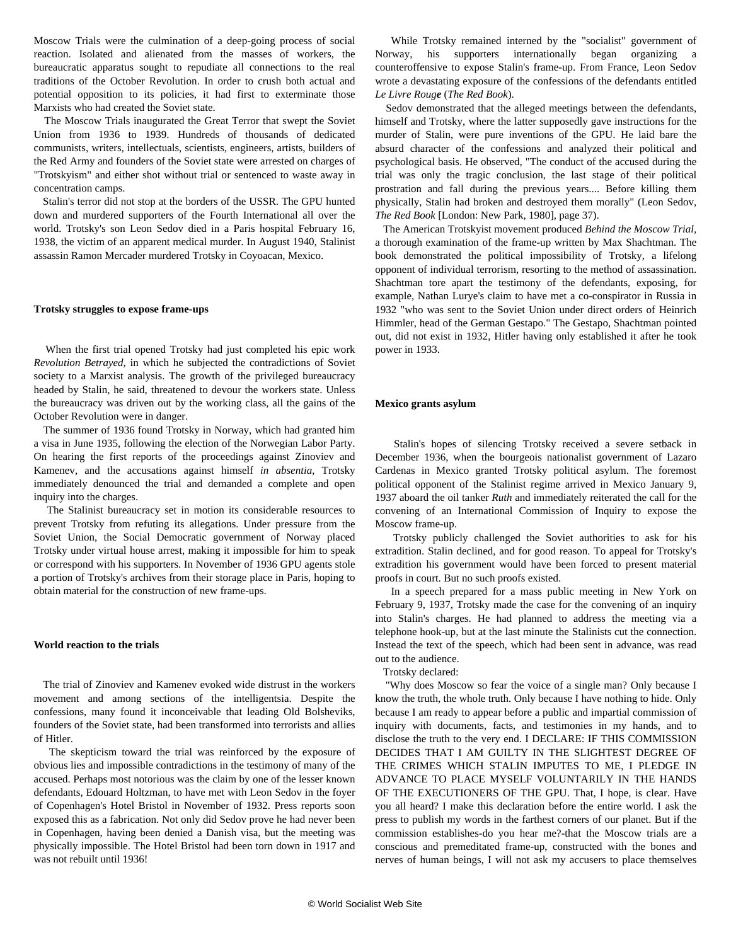Moscow Trials were the culmination of a deep-going process of social reaction. Isolated and alienated from the masses of workers, the bureaucratic apparatus sought to repudiate all connections to the real traditions of the October Revolution. In order to crush both actual and potential opposition to its policies, it had first to exterminate those Marxists who had created the Soviet state.

 The Moscow Trials inaugurated the Great Terror that swept the Soviet Union from 1936 to 1939. Hundreds of thousands of dedicated communists, writers, intellectuals, scientists, engineers, artists, builders of the Red Army and founders of the Soviet state were arrested on charges of "Trotskyism" and either shot without trial or sentenced to waste away in concentration camps.

 Stalin's terror did not stop at the borders of the USSR. The GPU hunted down and murdered supporters of the Fourth International all over the world. Trotsky's son Leon Sedov died in a Paris hospital February 16, 1938, the victim of an apparent medical murder. In August 1940, Stalinist assassin Ramon Mercader murdered Trotsky in Coyoacan, Mexico.

#### **Trotsky struggles to expose frame-ups**

 When the first trial opened Trotsky had just completed his epic work *Revolution Betrayed*, in which he subjected the contradictions of Soviet society to a Marxist analysis. The growth of the privileged bureaucracy headed by Stalin, he said, threatened to devour the workers state. Unless the bureaucracy was driven out by the working class, all the gains of the October Revolution were in danger.

 The summer of 1936 found Trotsky in Norway, which had granted him a visa in June 1935, following the election of the Norwegian Labor Party. On hearing the first reports of the proceedings against Zinoviev and Kamenev, and the accusations against himself *in absentia*, Trotsky immediately denounced the trial and demanded a complete and open inquiry into the charges.

 The Stalinist bureaucracy set in motion its considerable resources to prevent Trotsky from refuting its allegations. Under pressure from the Soviet Union, the Social Democratic government of Norway placed Trotsky under virtual house arrest, making it impossible for him to speak or correspond with his supporters. In November of 1936 GPU agents stole a portion of Trotsky's archives from their storage place in Paris, hoping to obtain material for the construction of new frame-ups.

#### **World reaction to the trials**

 The trial of Zinoviev and Kamenev evoked wide distrust in the workers movement and among sections of the intelligentsia. Despite the confessions, many found it inconceivable that leading Old Bolsheviks, founders of the Soviet state, had been transformed into terrorists and allies of Hitler.

 The skepticism toward the trial was reinforced by the exposure of obvious lies and impossible contradictions in the testimony of many of the accused. Perhaps most notorious was the claim by one of the lesser known defendants, Edouard Holtzman, to have met with Leon Sedov in the foyer of Copenhagen's Hotel Bristol in November of 1932. Press reports soon exposed this as a fabrication. Not only did Sedov prove he had never been in Copenhagen, having been denied a Danish visa, but the meeting was physically impossible. The Hotel Bristol had been torn down in 1917 and was not rebuilt until 1936!

 While Trotsky remained interned by the "socialist" government of Norway, his supporters internationally began organizing a counteroffensive to expose Stalin's frame-up. From France, Leon Sedov wrote a devastating exposure of the confessions of the defendants entitled *Le Livre Rouge* (*The Red Book*).

 Sedov demonstrated that the alleged meetings between the defendants, himself and Trotsky, where the latter supposedly gave instructions for the murder of Stalin, were pure inventions of the GPU. He laid bare the absurd character of the confessions and analyzed their political and psychological basis. He observed, "The conduct of the accused during the trial was only the tragic conclusion, the last stage of their political prostration and fall during the previous years.... Before killing them physically, Stalin had broken and destroyed them morally" (Leon Sedov, *The Red Book* [London: New Park, 1980], page 37).

 The American Trotskyist movement produced *Behind the Moscow Trial,* a thorough examination of the frame-up written by Max Shachtman. The book demonstrated the political impossibility of Trotsky, a lifelong opponent of individual terrorism, resorting to the method of assassination. Shachtman tore apart the testimony of the defendants, exposing, for example, Nathan Lurye's claim to have met a co-conspirator in Russia in 1932 "who was sent to the Soviet Union under direct orders of Heinrich Himmler, head of the German Gestapo." The Gestapo, Shachtman pointed out, did not exist in 1932, Hitler having only established it after he took power in 1933.

#### **Mexico grants asylum**

 Stalin's hopes of silencing Trotsky received a severe setback in December 1936, when the bourgeois nationalist government of Lazaro Cardenas in Mexico granted Trotsky political asylum. The foremost political opponent of the Stalinist regime arrived in Mexico January 9, 1937 aboard the oil tanker *Ruth* and immediately reiterated the call for the convening of an International Commission of Inquiry to expose the Moscow frame-up.

 Trotsky publicly challenged the Soviet authorities to ask for his extradition. Stalin declined, and for good reason. To appeal for Trotsky's extradition his government would have been forced to present material proofs in court. But no such proofs existed.

 In a speech prepared for a mass public meeting in New York on February 9, 1937, Trotsky made the case for the convening of an inquiry into Stalin's charges. He had planned to address the meeting via a telephone hook-up, but at the last minute the Stalinists cut the connection. Instead the text of the speech, which had been sent in advance, was read out to the audience.

Trotsky declared:

 "Why does Moscow so fear the voice of a single man? Only because I know the truth, the whole truth. Only because I have nothing to hide. Only because I am ready to appear before a public and impartial commission of inquiry with documents, facts, and testimonies in my hands, and to disclose the truth to the very end. I DECLARE: IF THIS COMMISSION DECIDES THAT I AM GUILTY IN THE SLIGHTEST DEGREE OF THE CRIMES WHICH STALIN IMPUTES TO ME, I PLEDGE IN ADVANCE TO PLACE MYSELF VOLUNTARILY IN THE HANDS OF THE EXECUTIONERS OF THE GPU. That, I hope, is clear. Have you all heard? I make this declaration before the entire world. I ask the press to publish my words in the farthest corners of our planet. But if the commission establishes-do you hear me?-that the Moscow trials are a conscious and premeditated frame-up, constructed with the bones and nerves of human beings, I will not ask my accusers to place themselves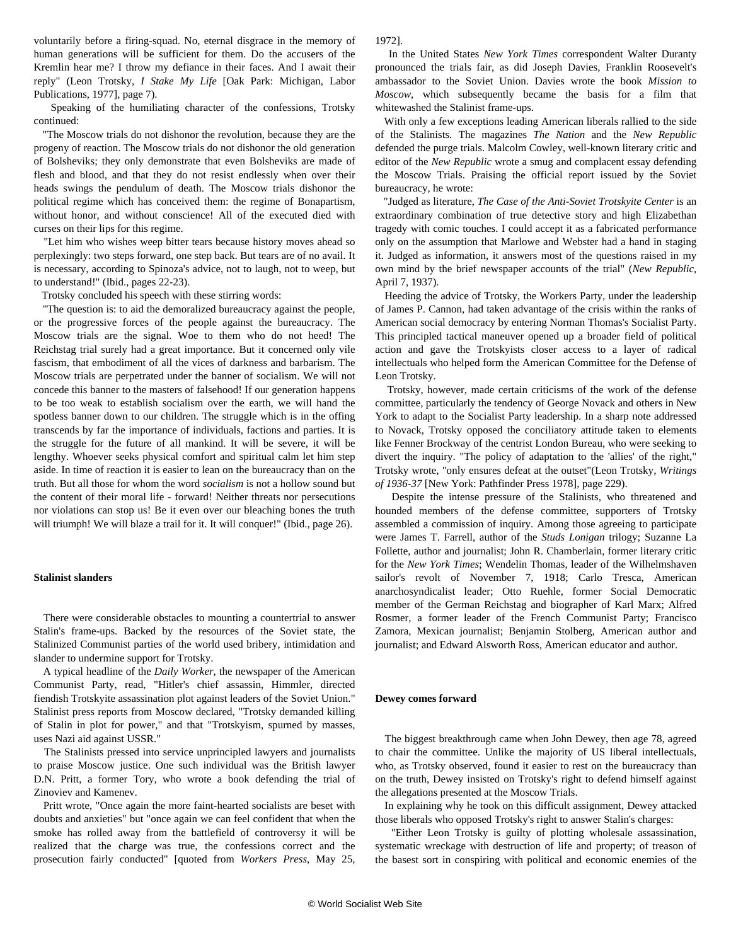voluntarily before a firing-squad. No, eternal disgrace in the memory of human generations will be sufficient for them. Do the accusers of the Kremlin hear me? I throw my defiance in their faces. And I await their reply" (Leon Trotsky, *I Stake My Life* [Oak Park: Michigan, Labor Publications, 1977], page 7).

 Speaking of the humiliating character of the confessions, Trotsky continued:

 "The Moscow trials do not dishonor the revolution, because they are the progeny of reaction. The Moscow trials do not dishonor the old generation of Bolsheviks; they only demonstrate that even Bolsheviks are made of flesh and blood, and that they do not resist endlessly when over their heads swings the pendulum of death. The Moscow trials dishonor the political regime which has conceived them: the regime of Bonapartism, without honor, and without conscience! All of the executed died with curses on their lips for this regime.

 "Let him who wishes weep bitter tears because history moves ahead so perplexingly: two steps forward, one step back. But tears are of no avail. It is necessary, according to Spinoza's advice, not to laugh, not to weep, but to understand!" (Ibid., pages 22-23).

Trotsky concluded his speech with these stirring words:

 "The question is: to aid the demoralized bureaucracy against the people, or the progressive forces of the people against the bureaucracy. The Moscow trials are the signal. Woe to them who do not heed! The Reichstag trial surely had a great importance. But it concerned only vile fascism, that embodiment of all the vices of darkness and barbarism. The Moscow trials are perpetrated under the banner of socialism. We will not concede this banner to the masters of falsehood! If our generation happens to be too weak to establish socialism over the earth, we will hand the spotless banner down to our children. The struggle which is in the offing transcends by far the importance of individuals, factions and parties. It is the struggle for the future of all mankind. It will be severe, it will be lengthy. Whoever seeks physical comfort and spiritual calm let him step aside. In time of reaction it is easier to lean on the bureaucracy than on the truth. But all those for whom the word *socialism* is not a hollow sound but the content of their moral life - forward! Neither threats nor persecutions nor violations can stop us! Be it even over our bleaching bones the truth will triumph! We will blaze a trail for it. It will conquer!" (Ibid., page 26).

#### **Stalinist slanders**

 There were considerable obstacles to mounting a countertrial to answer Stalin's frame-ups. Backed by the resources of the Soviet state, the Stalinized Communist parties of the world used bribery, intimidation and slander to undermine support for Trotsky.

 A typical headline of the *Daily Worker*, the newspaper of the American Communist Party, read, "Hitler's chief assassin, Himmler, directed fiendish Trotskyite assassination plot against leaders of the Soviet Union." Stalinist press reports from Moscow declared, "Trotsky demanded killing of Stalin in plot for power," and that "Trotskyism, spurned by masses, uses Nazi aid against USSR."

 The Stalinists pressed into service unprincipled lawyers and journalists to praise Moscow justice. One such individual was the British lawyer D.N. Pritt, a former Tory, who wrote a book defending the trial of Zinoviev and Kamenev.

 Pritt wrote, "Once again the more faint-hearted socialists are beset with doubts and anxieties" but "once again we can feel confident that when the smoke has rolled away from the battlefield of controversy it will be realized that the charge was true, the confessions correct and the prosecution fairly conducted" [quoted from *Workers Press*, May 25, 1972].

 In the United States *New York Times* correspondent Walter Duranty pronounced the trials fair, as did Joseph Davies, Franklin Roosevelt's ambassador to the Soviet Union. Davies wrote the book *Mission to Moscow*, which subsequently became the basis for a film that whitewashed the Stalinist frame-ups.

 With only a few exceptions leading American liberals rallied to the side of the Stalinists. The magazines *The Nation* and the *New Republic* defended the purge trials. Malcolm Cowley, well-known literary critic and editor of the *New Republic* wrote a smug and complacent essay defending the Moscow Trials. Praising the official report issued by the Soviet bureaucracy, he wrote:

 "Judged as literature, *The Case of the Anti-Soviet Trotskyite Center* is an extraordinary combination of true detective story and high Elizabethan tragedy with comic touches. I could accept it as a fabricated performance only on the assumption that Marlowe and Webster had a hand in staging it. Judged as information, it answers most of the questions raised in my own mind by the brief newspaper accounts of the trial" (*New Republic*, April 7, 1937).

 Heeding the advice of Trotsky, the Workers Party, under the leadership of James P. Cannon, had taken advantage of the crisis within the ranks of American social democracy by entering Norman Thomas's Socialist Party. This principled tactical maneuver opened up a broader field of political action and gave the Trotskyists closer access to a layer of radical intellectuals who helped form the American Committee for the Defense of Leon Trotsky.

 Trotsky, however, made certain criticisms of the work of the defense committee, particularly the tendency of George Novack and others in New York to adapt to the Socialist Party leadership. In a sharp note addressed to Novack, Trotsky opposed the conciliatory attitude taken to elements like Fenner Brockway of the centrist London Bureau, who were seeking to divert the inquiry. "The policy of adaptation to the 'allies' of the right," Trotsky wrote, "only ensures defeat at the outset"(Leon Trotsky, *Writings of 1936-37* [New York: Pathfinder Press 1978], page 229).

 Despite the intense pressure of the Stalinists, who threatened and hounded members of the defense committee, supporters of Trotsky assembled a commission of inquiry. Among those agreeing to participate were James T. Farrell, author of the *Studs Lonigan* trilogy; Suzanne La Follette, author and journalist; John R. Chamberlain, former literary critic for the *New York Times*; Wendelin Thomas, leader of the Wilhelmshaven sailor's revolt of November 7, 1918; Carlo Tresca, American anarchosyndicalist leader; Otto Ruehle, former Social Democratic member of the German Reichstag and biographer of Karl Marx; Alfred Rosmer, a former leader of the French Communist Party; Francisco Zamora, Mexican journalist; Benjamin Stolberg, American author and journalist; and Edward Alsworth Ross, American educator and author.

#### **Dewey comes forward**

 The biggest breakthrough came when John Dewey, then age 78, agreed to chair the committee. Unlike the majority of US liberal intellectuals, who, as Trotsky observed, found it easier to rest on the bureaucracy than on the truth, Dewey insisted on Trotsky's right to defend himself against the allegations presented at the Moscow Trials.

 In explaining why he took on this difficult assignment, Dewey attacked those liberals who opposed Trotsky's right to answer Stalin's charges:

 "Either Leon Trotsky is guilty of plotting wholesale assassination, systematic wreckage with destruction of life and property; of treason of the basest sort in conspiring with political and economic enemies of the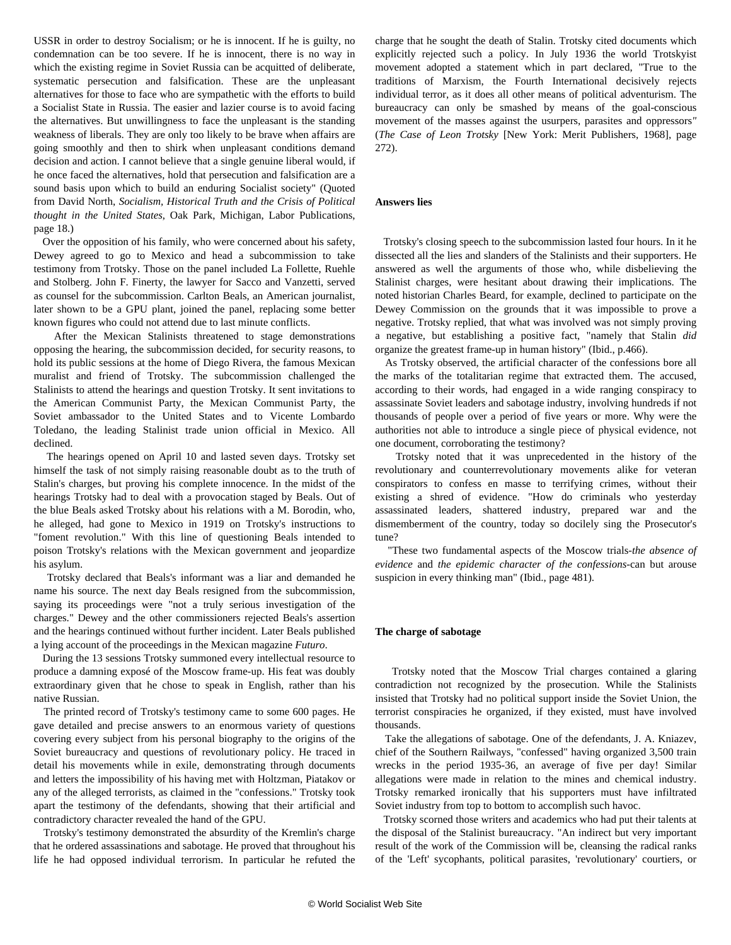USSR in order to destroy Socialism; or he is innocent. If he is guilty, no condemnation can be too severe. If he is innocent, there is no way in which the existing regime in Soviet Russia can be acquitted of deliberate, systematic persecution and falsification. These are the unpleasant alternatives for those to face who are sympathetic with the efforts to build a Socialist State in Russia. The easier and lazier course is to avoid facing the alternatives. But unwillingness to face the unpleasant is the standing weakness of liberals. They are only too likely to be brave when affairs are going smoothly and then to shirk when unpleasant conditions demand decision and action. I cannot believe that a single genuine liberal would, if he once faced the alternatives, hold that persecution and falsification are a sound basis upon which to build an enduring Socialist society" (Quoted from David North, *Socialism, Historical Truth and the Crisis of Political thought in the United States*, Oak Park, Michigan, Labor Publications, page 18.)

 Over the opposition of his family, who were concerned about his safety, Dewey agreed to go to Mexico and head a subcommission to take testimony from Trotsky. Those on the panel included La Follette, Ruehle and Stolberg. John F. Finerty, the lawyer for Sacco and Vanzetti, served as counsel for the subcommission. Carlton Beals, an American journalist, later shown to be a GPU plant, joined the panel, replacing some better known figures who could not attend due to last minute conflicts.

 After the Mexican Stalinists threatened to stage demonstrations opposing the hearing, the subcommission decided, for security reasons, to hold its public sessions at the home of Diego Rivera, the famous Mexican muralist and friend of Trotsky. The subcommission challenged the Stalinists to attend the hearings and question Trotsky. It sent invitations to the American Communist Party, the Mexican Communist Party, the Soviet ambassador to the United States and to Vicente Lombardo Toledano, the leading Stalinist trade union official in Mexico. All declined.

 The hearings opened on April 10 and lasted seven days. Trotsky set himself the task of not simply raising reasonable doubt as to the truth of Stalin's charges, but proving his complete innocence. In the midst of the hearings Trotsky had to deal with a provocation staged by Beals. Out of the blue Beals asked Trotsky about his relations with a M. Borodin, who, he alleged, had gone to Mexico in 1919 on Trotsky's instructions to "foment revolution." With this line of questioning Beals intended to poison Trotsky's relations with the Mexican government and jeopardize his asylum.

 Trotsky declared that Beals's informant was a liar and demanded he name his source. The next day Beals resigned from the subcommission, saying its proceedings were "not a truly serious investigation of the charges." Dewey and the other commissioners rejected Beals's assertion and the hearings continued without further incident. Later Beals published a lying account of the proceedings in the Mexican magazine *Futuro*.

 During the 13 sessions Trotsky summoned every intellectual resource to produce a damning exposé of the Moscow frame-up. His feat was doubly extraordinary given that he chose to speak in English, rather than his native Russian.

 The printed record of Trotsky's testimony came to some 600 pages. He gave detailed and precise answers to an enormous variety of questions covering every subject from his personal biography to the origins of the Soviet bureaucracy and questions of revolutionary policy. He traced in detail his movements while in exile, demonstrating through documents and letters the impossibility of his having met with Holtzman, Piatakov or any of the alleged terrorists, as claimed in the "confessions." Trotsky took apart the testimony of the defendants, showing that their artificial and contradictory character revealed the hand of the GPU.

 Trotsky's testimony demonstrated the absurdity of the Kremlin's charge that he ordered assassinations and sabotage. He proved that throughout his life he had opposed individual terrorism. In particular he refuted the

charge that he sought the death of Stalin. Trotsky cited documents which explicitly rejected such a policy. In July 1936 the world Trotskyist movement adopted a statement which in part declared, "True to the traditions of Marxism, the Fourth International decisively rejects individual terror, as it does all other means of political adventurism. The bureaucracy can only be smashed by means of the goal-conscious movement of the masses against the usurpers, parasites and oppressors*"* (*The Case of Leon Trotsky* [New York: Merit Publishers, 1968], page 272).

#### **Answers lies**

 Trotsky's closing speech to the subcommission lasted four hours. In it he dissected all the lies and slanders of the Stalinists and their supporters. He answered as well the arguments of those who, while disbelieving the Stalinist charges, were hesitant about drawing their implications. The noted historian Charles Beard, for example, declined to participate on the Dewey Commission on the grounds that it was impossible to prove a negative. Trotsky replied, that what was involved was not simply proving a negative, but establishing a positive fact, "namely that Stalin *did* organize the greatest frame-up in human history" (Ibid., p.466).

 As Trotsky observed, the artificial character of the confessions bore all the marks of the totalitarian regime that extracted them. The accused, according to their words, had engaged in a wide ranging conspiracy to assassinate Soviet leaders and sabotage industry, involving hundreds if not thousands of people over a period of five years or more. Why were the authorities not able to introduce a single piece of physical evidence, not one document, corroborating the testimony?

 Trotsky noted that it was unprecedented in the history of the revolutionary and counterrevolutionary movements alike for veteran conspirators to confess en masse to terrifying crimes, without their existing a shred of evidence. "How do criminals who yesterday assassinated leaders, shattered industry, prepared war and the dismemberment of the country, today so docilely sing the Prosecutor's tune?

 "These two fundamental aspects of the Moscow trials-*the absence of evidence* and *the epidemic character of the confessions*-can but arouse suspicion in every thinking man" (Ibid., page 481).

#### **The charge of sabotage**

 Trotsky noted that the Moscow Trial charges contained a glaring contradiction not recognized by the prosecution. While the Stalinists insisted that Trotsky had no political support inside the Soviet Union, the terrorist conspiracies he organized, if they existed, must have involved thousands.

 Take the allegations of sabotage. One of the defendants, J. A. Kniazev, chief of the Southern Railways, "confessed" having organized 3,500 train wrecks in the period 1935-36, an average of five per day! Similar allegations were made in relation to the mines and chemical industry. Trotsky remarked ironically that his supporters must have infiltrated Soviet industry from top to bottom to accomplish such havoc.

 Trotsky scorned those writers and academics who had put their talents at the disposal of the Stalinist bureaucracy. "An indirect but very important result of the work of the Commission will be, cleansing the radical ranks of the 'Left' sycophants, political parasites, 'revolutionary' courtiers, or